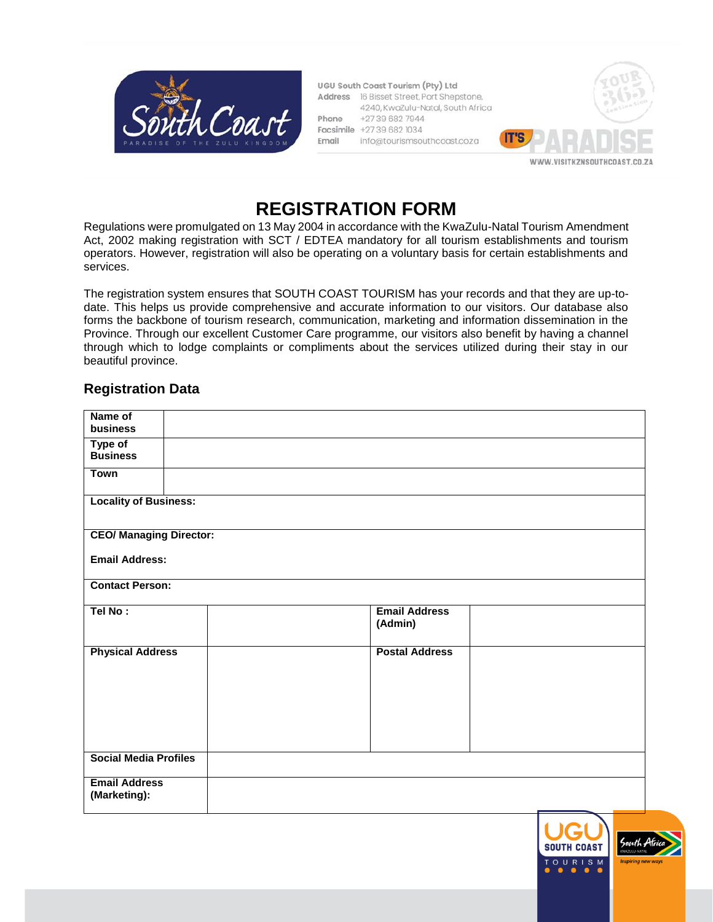

UGU South Coast Tourism (Pty) Ltd Address 16 Bisset Street, Port Shepstone, 4240, KwaZulu-Natal, South Africa +27396827944 Phone Facsimile +27 39 682 1034 info@tourismsouthcoast.coza Email



# **REGISTRATION FORM**

Regulations were promulgated on 13 May 2004 in accordance with the KwaZulu-Natal Tourism Amendment Act, 2002 making registration with SCT / EDTEA mandatory for all tourism establishments and tourism operators. However, registration will also be operating on a voluntary basis for certain establishments and services.

The registration system ensures that SOUTH COAST TOURISM has your records and that they are up-todate. This helps us provide comprehensive and accurate information to our visitors. Our database also forms the backbone of tourism research, communication, marketing and information dissemination in the Province. Through our excellent Customer Care programme, our visitors also benefit by having a channel through which to lodge complaints or compliments about the services utilized during their stay in our beautiful province.

# **Registration Data**

| Name of<br>business                  |  |                                 |  |
|--------------------------------------|--|---------------------------------|--|
|                                      |  |                                 |  |
| Type of                              |  |                                 |  |
| <b>Business</b>                      |  |                                 |  |
| Town                                 |  |                                 |  |
| <b>Locality of Business:</b>         |  |                                 |  |
| <b>CEO/ Managing Director:</b>       |  |                                 |  |
| <b>Email Address:</b>                |  |                                 |  |
| <b>Contact Person:</b>               |  |                                 |  |
| Tel No:                              |  | <b>Email Address</b><br>(Admin) |  |
| <b>Physical Address</b>              |  | <b>Postal Address</b>           |  |
| <b>Social Media Profiles</b>         |  |                                 |  |
| <b>Email Address</b><br>(Marketing): |  |                                 |  |

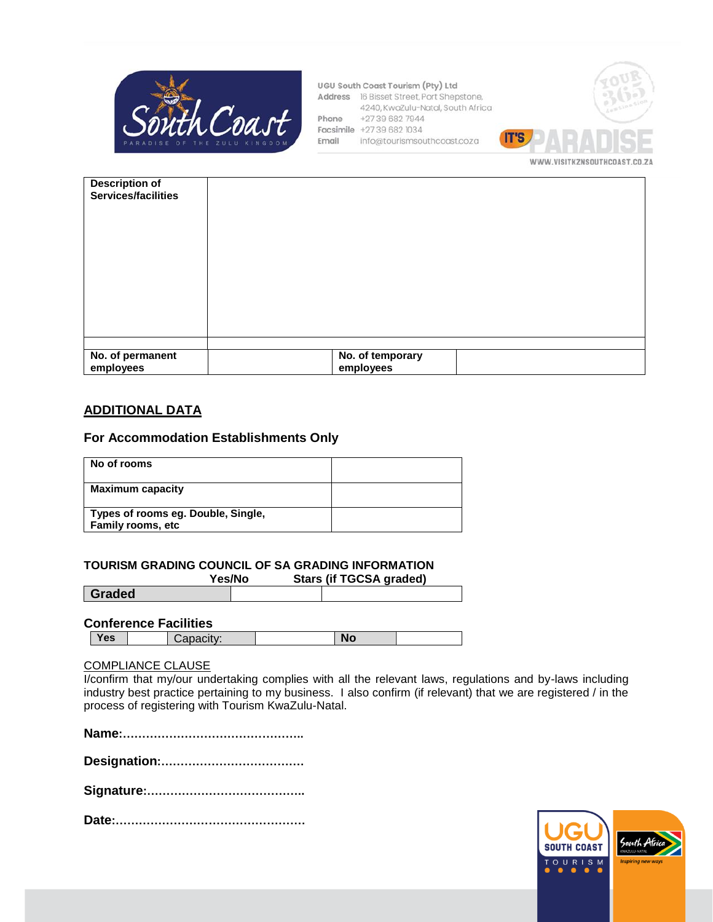

UGU South Coast Tourism (Pty) Ltd Address 16 Bisset Street, Port Shepstone, 4240, KwaZulu-Natal, South Africa Phone +27396827944 Facsimile +27 39 682 1034 Email info@tourismsouthcoast.coza



| <b>Description of</b><br>Services/facilities |                               |
|----------------------------------------------|-------------------------------|
|                                              |                               |
| No. of permanent<br>employees                | No. of temporary<br>employees |

### **ADDITIONAL DATA**

#### **For Accommodation Establishments Only**

| No of rooms                                                    |  |
|----------------------------------------------------------------|--|
| <b>Maximum capacity</b>                                        |  |
| Types of rooms eg. Double, Single,<br><b>Family rooms, etc</b> |  |

#### **TOURISM GRADING COUNCIL OF SA GRADING INFORMATION**

**Yes/No Stars (if TGCSA graded) Graded**

#### **Conference Facilities**

| <b>es</b><br>Nr<br>.<br>- 11<br>-- |
|------------------------------------|
|------------------------------------|

#### COMPLIANCE CLAUSE

I/confirm that my/our undertaking complies with all the relevant laws, regulations and by-laws including industry best practice pertaining to my business. I also confirm (if relevant) that we are registered / in the process of registering with Tourism KwaZulu-Natal.

**Designation:……………………………….**

**Signature:…………………………………..**

**Date:………………………………………….**

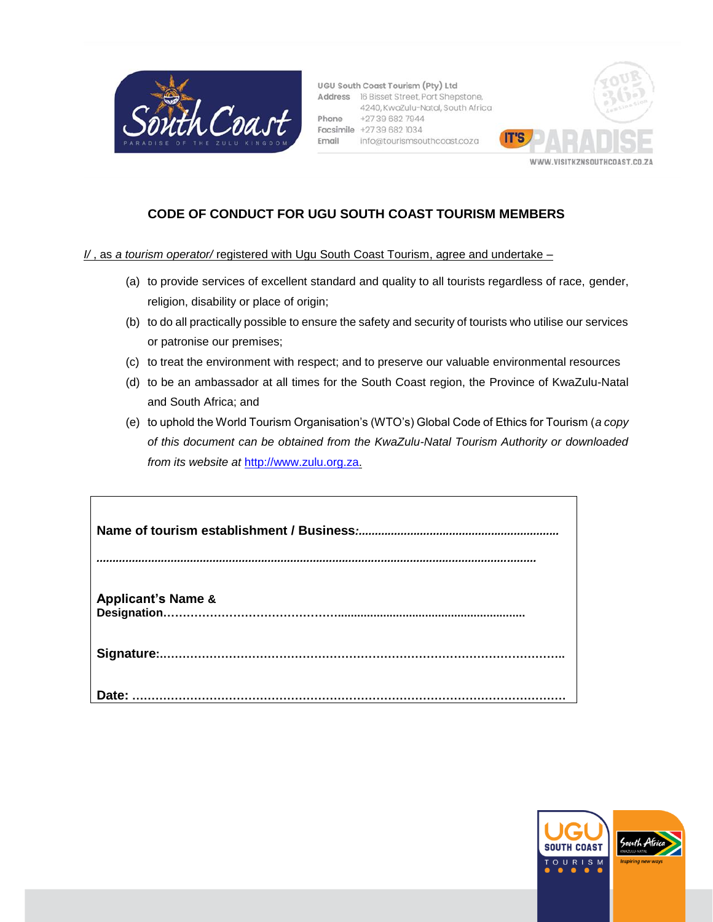

UGU South Coast Tourism (Pty) Ltd Address 16 Bisset Street, Port Shepstone, 4240, KwaZulu-Natal, South Africa +27396827944 Phone Facsimile +27 39 682 1034 info@tourismsouthcoast.coza Email



# **CODE OF CONDUCT FOR UGU SOUTH COAST TOURISM MEMBERS**

*I/* , as *a tourism operator/* registered with Ugu South Coast Tourism, agree and undertake –

- (a) to provide services of excellent standard and quality to all tourists regardless of race, gender, religion, disability or place of origin;
- (b) to do all practically possible to ensure the safety and security of tourists who utilise our services or patronise our premises;
- (c) to treat the environment with respect; and to preserve our valuable environmental resources
- (d) to be an ambassador at all times for the South Coast region, the Province of KwaZulu-Natal and South Africa; and
- (e) to uphold the World Tourism Organisation's (WTO's) Global Code of Ethics for Tourism (*a copy of this document can be obtained from the KwaZulu-Natal Tourism Authority or downloaded from its website at* [http://www.zulu.org.za.](http://www.zulu.org.za/)

| <b>Applicant's Name &amp;</b> |
|-------------------------------|
|                               |
| Date:                         |

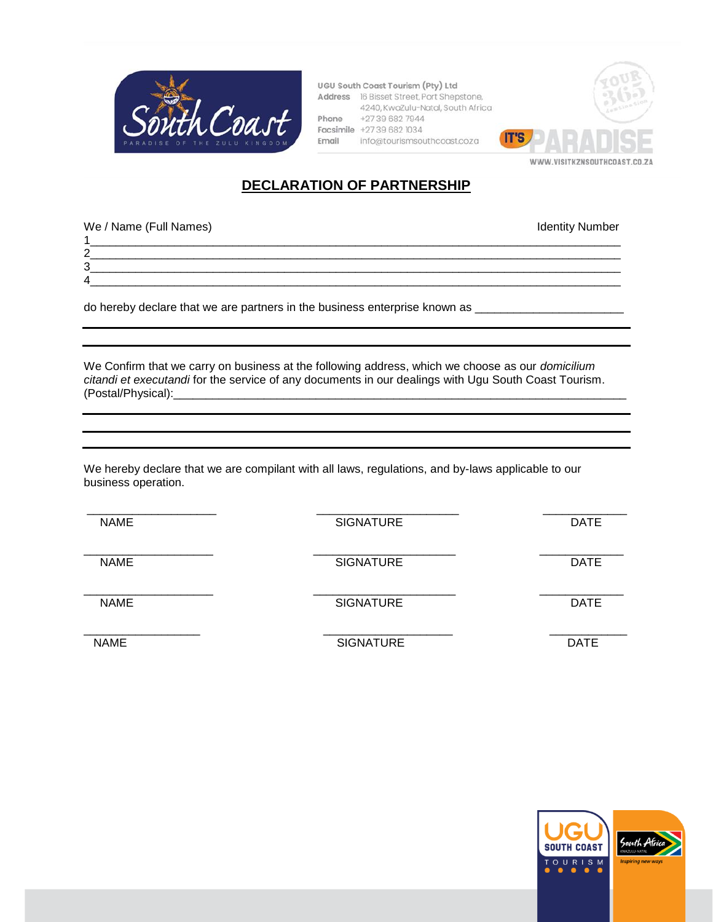

UGU South Coast Tourism (Pty) Ltd Address 16 Bisset Street, Port Shepstone, 4240, KwaZulu-Natal, South Africa Phone +2739 682 7944 Facsimile +27 39 682 1034 Email info@tourismsouthcoast.coza



# **DECLARATION OF PARTNERSHIP**

1\_\_\_\_\_\_\_\_\_\_\_\_\_\_\_\_\_\_\_\_\_\_\_\_\_\_\_\_\_\_\_\_\_\_\_\_\_\_\_\_\_\_\_\_\_\_\_\_\_\_\_\_\_\_\_\_\_\_\_\_\_\_\_\_\_\_\_\_\_\_\_\_\_\_\_\_\_\_\_\_\_\_

3\_\_\_\_\_\_\_\_\_\_\_\_\_\_\_\_\_\_\_\_\_\_\_\_\_\_\_\_\_\_\_\_\_\_\_\_\_\_\_\_\_\_\_\_\_\_\_\_\_\_\_\_\_\_\_\_\_\_\_\_\_\_\_\_\_\_\_\_\_\_\_\_\_\_\_\_\_\_\_\_\_\_ 4\_\_\_\_\_\_\_\_\_\_\_\_\_\_\_\_\_\_\_\_\_\_\_\_\_\_\_\_\_\_\_\_\_\_\_\_\_\_\_\_\_\_\_\_\_\_\_\_\_\_\_\_\_\_\_\_\_\_\_\_\_\_\_\_\_\_\_\_\_\_\_\_\_\_\_\_\_\_\_\_\_\_

2\_\_\_\_\_\_\_\_\_\_\_\_\_\_\_\_\_\_\_\_\_\_\_\_\_\_\_\_\_\_\_\_\_\_\_\_\_\_\_\_\_\_\_\_\_\_\_\_\_\_\_\_\_\_\_\_\_\_\_\_\_\_\_\_\_\_\_\_\_\_\_\_\_\_\_\_\_\_\_\_\_\_

We / Name (Full Names) **Identity Number** Intervention of the *Identity Number* Intervention of the *Identity Number* 

do hereby declare that we are partners in the business enterprise known as \_\_\_\_\_\_\_\_\_\_\_\_\_\_\_\_\_\_\_\_\_\_\_

We Confirm that we carry on business at the following address, which we choose as our *domicilium citandi et executandi* for the service of any documents in our dealings with Ugu South Coast Tourism. (Postal/Physical):\_\_\_\_\_\_\_\_\_\_\_\_\_\_\_\_\_\_\_\_\_\_\_\_\_\_\_\_\_\_\_\_\_\_\_\_\_\_\_\_\_\_\_\_\_\_\_\_\_\_\_\_\_\_\_\_\_\_\_\_\_\_\_\_\_\_\_\_\_\_

We hereby declare that we are compilant with all laws, regulations, and by-laws applicable to our business operation.

\_\_\_\_\_\_\_\_\_\_\_\_\_\_\_\_\_\_\_\_ \_\_\_\_\_\_\_\_\_\_\_\_\_\_\_\_\_\_\_\_\_\_ \_\_\_\_\_\_\_\_\_\_\_\_\_ NAME DATE SIGNATURE DATE \_\_\_\_\_\_\_\_\_\_\_\_\_\_\_\_\_\_\_\_ \_\_\_\_\_\_\_\_\_\_\_\_\_\_\_\_\_\_\_\_\_\_ \_\_\_\_\_\_\_\_\_\_\_\_\_ NAME DATE SIGNATURE DATE \_\_\_\_\_\_\_\_\_\_\_\_\_\_\_\_\_\_\_\_ \_\_\_\_\_\_\_\_\_\_\_\_\_\_\_\_\_\_\_\_\_\_ \_\_\_\_\_\_\_\_\_\_\_\_\_ NAME DATE SIGNATURE DATE \_\_\_\_\_\_\_\_\_\_\_\_\_\_\_\_\_\_ \_\_\_\_\_\_\_\_\_\_\_\_\_\_\_\_\_\_\_\_ \_\_\_\_\_\_\_\_\_\_\_\_ NAME DATE SIGNATURE DATE

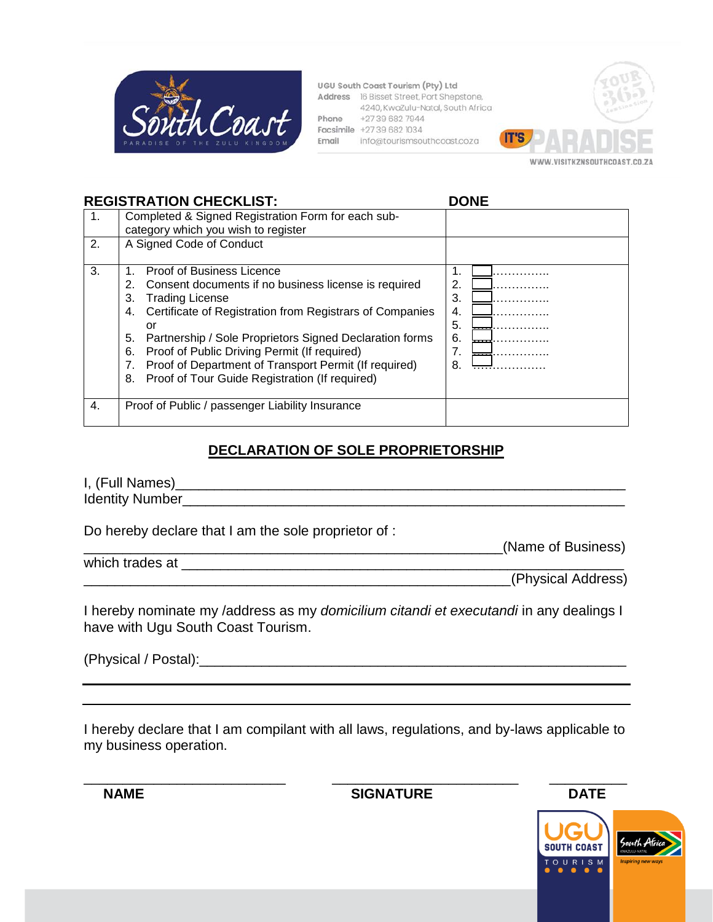

UGU South Coast Tourism (Pty) Ltd Address 16 Bisset Street, Port Shepstone, 4240, KwaZulu-Natal, South Africa Phone +2739 682 7944 Facsimile +27 39 682 1034 Email info@tourismsouthcoast.coza



## **REGISTRATION CHECKLIST: DONE**

| $\mathbf{1}$ .<br>2. | Completed & Signed Registration Form for each sub-<br>category which you wish to register<br>A Signed Code of Conduct                                                                                                                                                                                                                                                                                                                                |                                             |
|----------------------|------------------------------------------------------------------------------------------------------------------------------------------------------------------------------------------------------------------------------------------------------------------------------------------------------------------------------------------------------------------------------------------------------------------------------------------------------|---------------------------------------------|
| 3.                   | <b>Proof of Business Licence</b><br>Consent documents if no business license is required<br>2.<br><b>Trading License</b><br>3.<br>Certificate of Registration from Registrars of Companies<br>4.<br>or<br>5.<br>Partnership / Sole Proprietors Signed Declaration forms<br>Proof of Public Driving Permit (If required)<br>6.<br>Proof of Department of Transport Permit (If required)<br>7.<br>Proof of Tour Guide Registration (If required)<br>8. | 2.<br>3.<br>4.<br>5.<br>6.<br>.<br>7.<br>8. |
| 4.                   | Proof of Public / passenger Liability Insurance                                                                                                                                                                                                                                                                                                                                                                                                      |                                             |

# **DECLARATION OF SOLE PROPRIETORSHIP**

I, (Full Names)\_\_\_\_\_\_\_\_\_\_\_\_\_\_\_\_\_\_\_\_\_\_\_\_\_\_\_\_\_\_\_\_\_\_\_\_\_\_\_\_\_\_\_\_\_\_\_\_\_\_\_\_\_\_\_\_\_\_ Identity Number\_\_\_\_\_\_\_\_\_\_\_\_\_\_\_\_\_\_\_\_\_\_\_\_\_\_\_\_\_\_\_\_\_\_\_\_\_\_\_\_\_\_\_\_\_\_\_\_\_\_\_\_\_\_\_\_\_

Do hereby declare that I am the sole proprietor of :

which trades at \_\_\_\_\_\_\_\_\_\_\_\_\_\_\_\_\_\_\_\_\_\_\_\_\_\_\_\_\_\_\_\_\_\_\_\_\_\_\_\_\_\_\_\_\_\_\_\_\_\_\_\_\_\_\_\_\_

\_\_\_\_\_\_\_\_\_\_\_\_\_\_\_\_\_\_\_\_\_\_\_\_\_\_\_\_\_\_\_\_\_\_\_\_\_\_\_\_\_\_\_\_\_\_\_\_\_\_\_\_\_\_\_(Physical Address)

I hereby nominate my /address as my *domicilium citandi et executandi* in any dealings I have with Ugu South Coast Tourism.

(Physical / Postal):\_\_\_\_\_\_\_\_\_\_\_\_\_\_\_\_\_\_\_\_\_\_\_\_\_\_\_\_\_\_\_\_\_\_\_\_\_\_\_\_\_\_\_\_\_\_\_\_\_\_\_\_\_\_\_

I hereby declare that I am compilant with all laws, regulations, and by-laws applicable to my business operation.

**NAME** DATE SIGNATURE DATE

\_\_\_\_\_\_\_\_\_\_\_\_\_\_\_\_\_\_\_\_\_\_\_\_\_\_\_\_\_\_\_\_\_\_\_\_\_\_\_\_\_\_\_\_\_\_\_\_\_\_\_\_\_\_(Name of Business)

\_\_\_\_\_\_\_\_\_\_\_\_\_\_\_\_\_\_\_\_\_\_\_\_\_\_ \_\_\_\_\_\_\_\_\_\_\_\_\_\_\_\_\_\_\_\_\_\_\_\_ \_\_\_\_\_\_\_\_\_\_

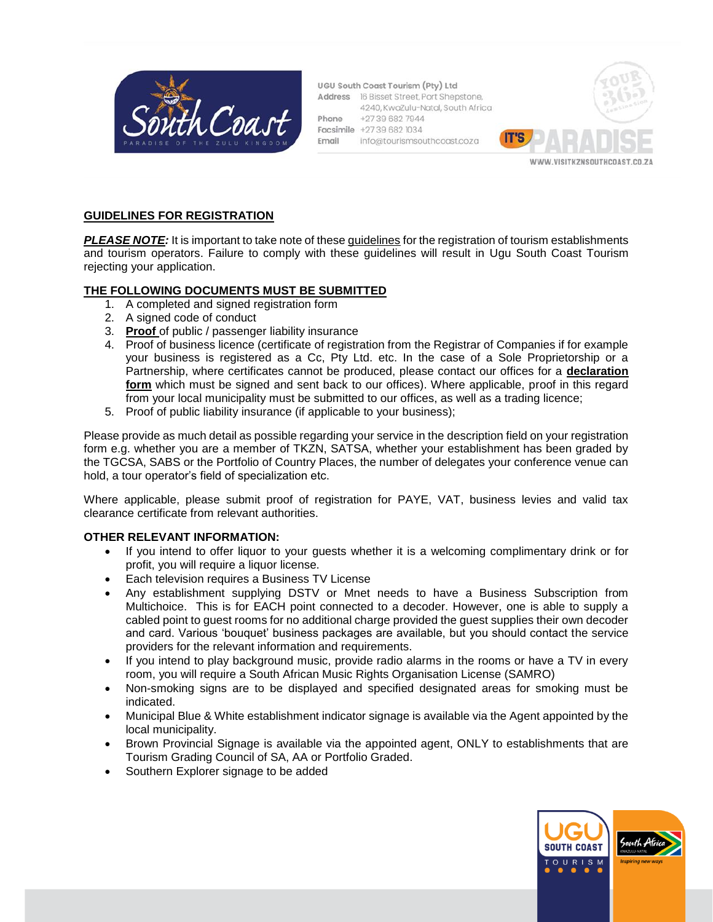

UGU South Coast Tourism (Pty) Ltd Address 16 Bisset Street, Port Shepstone, 4240, KwaZulu-Natal, South Africa +27396827944 Phone Facsimile +27 39 682 1034 info@tourismsouthcoast.coza Email



### **GUIDELINES FOR REGISTRATION**

*PLEASE NOTE:* It is important to take note of these guidelines for the registration of tourism establishments and tourism operators. Failure to comply with these guidelines will result in Ugu South Coast Tourism rejecting your application.

#### **THE FOLLOWING DOCUMENTS MUST BE SUBMITTED**

- 1. A completed and signed registration form
- 2. A signed code of conduct
- 3. **Proof** of public / passenger liability insurance
- 4. Proof of business licence (certificate of registration from the Registrar of Companies if for example your business is registered as a Cc, Pty Ltd. etc. In the case of a Sole Proprietorship or a Partnership, where certificates cannot be produced, please contact our offices for a **declaration form** which must be signed and sent back to our offices). Where applicable, proof in this regard from your local municipality must be submitted to our offices, as well as a trading licence;
- 5. Proof of public liability insurance (if applicable to your business);

Please provide as much detail as possible regarding your service in the description field on your registration form e.g. whether you are a member of TKZN, SATSA, whether your establishment has been graded by the TGCSA, SABS or the Portfolio of Country Places, the number of delegates your conference venue can hold, a tour operator's field of specialization etc.

Where applicable, please submit proof of registration for PAYE, VAT, business levies and valid tax clearance certificate from relevant authorities.

#### **OTHER RELEVANT INFORMATION:**

- If you intend to offer liquor to your guests whether it is a welcoming complimentary drink or for profit, you will require a liquor license.
- Each television requires a Business TV License
- Any establishment supplying DSTV or Mnet needs to have a Business Subscription from Multichoice. This is for EACH point connected to a decoder. However, one is able to supply a cabled point to guest rooms for no additional charge provided the guest supplies their own decoder and card. Various 'bouquet' business packages are available, but you should contact the service providers for the relevant information and requirements.
- If you intend to play background music, provide radio alarms in the rooms or have a TV in every room, you will require a South African Music Rights Organisation License (SAMRO)
- Non-smoking signs are to be displayed and specified designated areas for smoking must be indicated.
- Municipal Blue & White establishment indicator signage is available via the Agent appointed by the local municipality.
- Brown Provincial Signage is available via the appointed agent, ONLY to establishments that are Tourism Grading Council of SA, AA or Portfolio Graded.
- Southern Explorer signage to be added